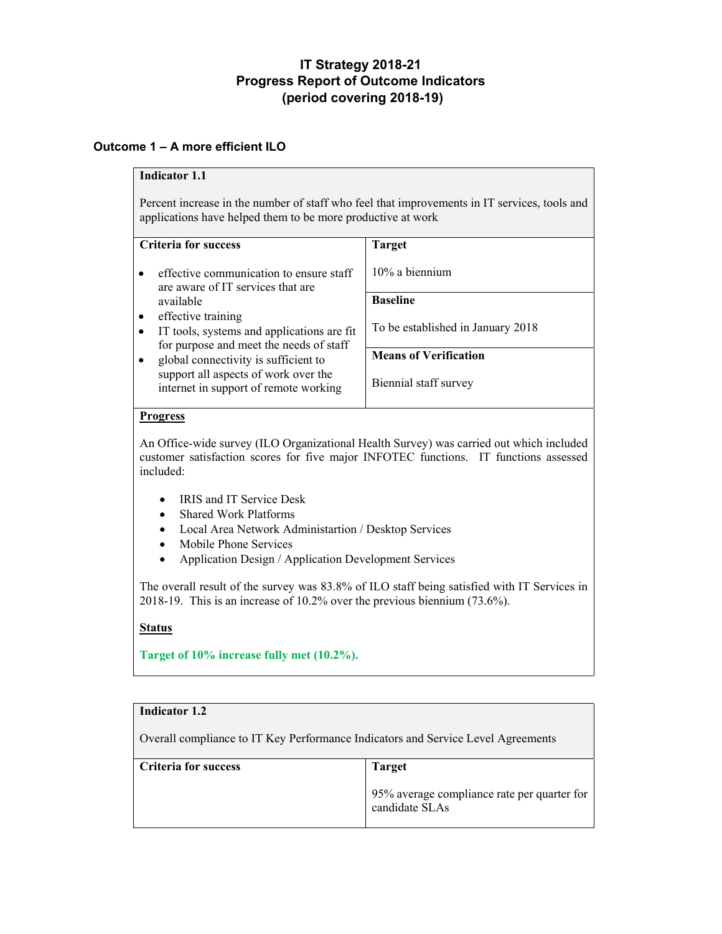# **IT Strategy 2018-21 Progress Report of Outcome Indicators (period covering 2018-19)**

# **Outcome 1 – A more efficient ILO**

## **Indicator 1.1**

Percent increase in the number of staff who feel that improvements in IT services, tools and applications have helped them to be more productive at work

| <b>Criteria for success</b>                                                   | <b>Target</b>                     |
|-------------------------------------------------------------------------------|-----------------------------------|
| effective communication to ensure staff<br>are aware of IT services that are  | $10\%$ a biennium                 |
| available                                                                     | <b>Baseline</b>                   |
| effective training<br>$\bullet$                                               |                                   |
| IT tools, systems and applications are fit                                    | To be established in January 2018 |
| for purpose and meet the needs of staff                                       |                                   |
| global connectivity is sufficient to                                          | <b>Means of Verification</b>      |
| support all aspects of work over the<br>internet in support of remote working | Biennial staff survey             |

#### **Progress**

An Office-wide survey (ILO Organizational Health Survey) was carried out which included customer satisfaction scores for five major INFOTEC functions. IT functions assessed included:

- IRIS and IT Service Desk
- Shared Work Platforms
- Local Area Network Administartion / Desktop Services
- Mobile Phone Services
- Application Design / Application Development Services

The overall result of the survey was 83.8% of ILO staff being satisfied with IT Services in 2018-19. This is an increase of 10.2% over the previous biennium (73.6%).

### **Status**

**Target of 10% increase fully met (10.2%).**

| <b>Indicator 1.2</b>                                                             |                                                               |
|----------------------------------------------------------------------------------|---------------------------------------------------------------|
| Overall compliance to IT Key Performance Indicators and Service Level Agreements |                                                               |
| <b>Criteria for success</b>                                                      | <b>Target</b>                                                 |
|                                                                                  | 95% average compliance rate per quarter for<br>candidate SLAs |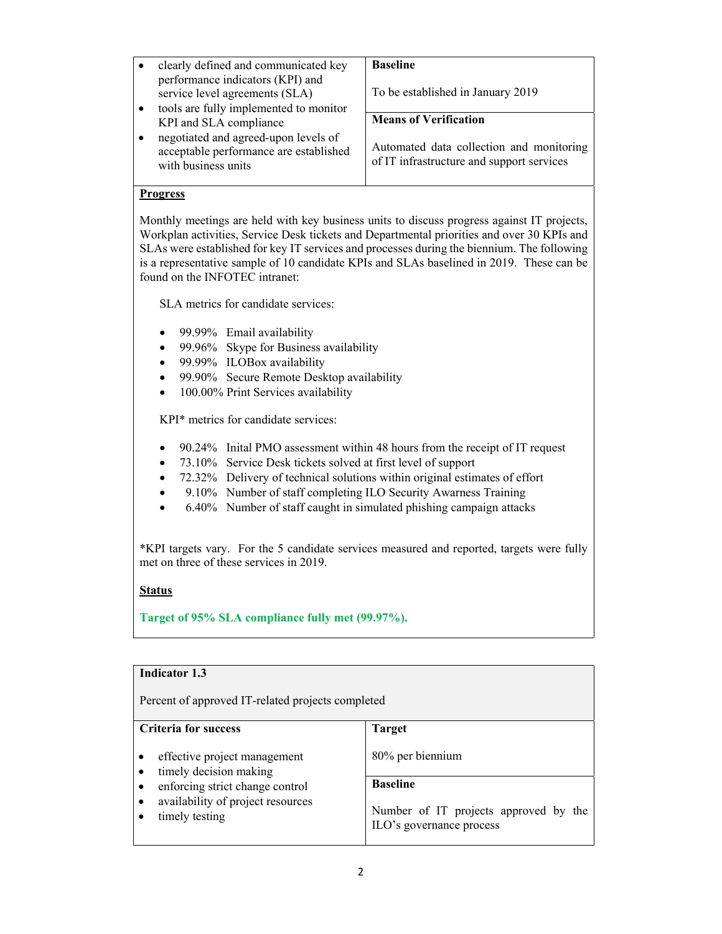| clearly defined and communicated key                                                                  | <b>Baseline</b>                                                                       |
|-------------------------------------------------------------------------------------------------------|---------------------------------------------------------------------------------------|
| performance indicators (KPI) and<br>service level agreements (SLA)                                    | To be established in January 2019                                                     |
| tools are fully implemented to monitor                                                                |                                                                                       |
| KPI and SLA compliance                                                                                | <b>Means of Verification</b>                                                          |
| negotiated and agreed-upon levels of<br>acceptable performance are established<br>with business units | Automated data collection and monitoring<br>of IT infrastructure and support services |

#### **Progress**

Monthly meetings are held with key business units to discuss progress against IT projects, Workplan activities, Service Desk tickets and Departmental priorities and over 30 KPIs and SLAs were established for key IT services and processes during the biennium. The following is a representative sample of 10 candidate KPIs and SLAs baselined in 2019. These can be found on the INFOTEC intranet:

SLA metrics for candidate services:

- 99.99% Email availability
- 99.96% Skype for Business availability
- 99.99% ILOBox availability
- 99.90% Secure Remote Desktop availability
- 100.00% Print Services availability

KPI\* metrics for candidate services:

- 90.24% Inital PMO assessment within 48 hours from the receipt of IT request
- 73.10% Service Desk tickets solved at first level of support
- 72.32% Delivery of technical solutions within original estimates of effort
- 9.10% Number of staff completing ILO Security Awarness Training
- 6.40% Number of staff caught in simulated phishing campaign attacks

\*KPI targets vary. For the 5 candidate services measured and reported, targets were fully met on three of these services in 2019.

## **Status**

**Target of 95% SLA compliance fully met (99.97%).**

| <b>Indicator 1.3</b>                                   |                                                                   |
|--------------------------------------------------------|-------------------------------------------------------------------|
| Percent of approved IT-related projects completed      |                                                                   |
| <b>Criteria for success</b>                            | <b>Target</b>                                                     |
| effective project management<br>timely decision making | 80% per biennium                                                  |
| enforcing strict change control<br>٠                   | <b>Baseline</b>                                                   |
| availability of project resources<br>timely testing    | Number of IT projects approved by the<br>ILO's governance process |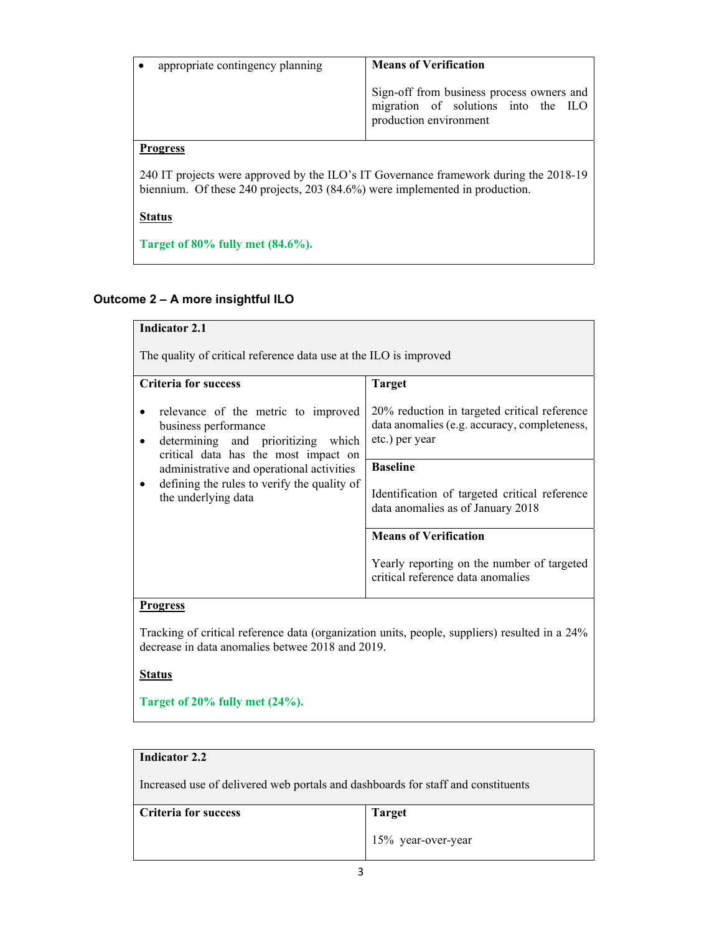| appropriate contingency planning                                                                                                                                      | <b>Means of Verification</b>                                                                               |
|-----------------------------------------------------------------------------------------------------------------------------------------------------------------------|------------------------------------------------------------------------------------------------------------|
|                                                                                                                                                                       | Sign-off from business process owners and<br>migration of solutions into the ILO<br>production environment |
| <b>Progress</b>                                                                                                                                                       |                                                                                                            |
| 240 IT projects were approved by the ILO's IT Governance framework during the 2018-19<br>biennium. Of these 240 projects, 203 (84.6%) were implemented in production. |                                                                                                            |
| <b>Status</b>                                                                                                                                                         |                                                                                                            |
| Target of $80\%$ fully met $(84.6\%)$ .                                                                                                                               |                                                                                                            |

# **Outcome 2 – A more insightful ILO**

| <b>Indicator 2.1</b>                                                                                                                                                                                                                                         |                                                                                                                |
|--------------------------------------------------------------------------------------------------------------------------------------------------------------------------------------------------------------------------------------------------------------|----------------------------------------------------------------------------------------------------------------|
| The quality of critical reference data use at the ILO is improved                                                                                                                                                                                            |                                                                                                                |
| <b>Criteria for success</b>                                                                                                                                                                                                                                  | <b>Target</b>                                                                                                  |
| relevance of the metric to improved<br>business performance<br>determining and prioritizing which<br>critical data has the most impact on<br>administrative and operational activities<br>defining the rules to verify the quality of<br>the underlying data | 20% reduction in targeted critical reference<br>data anomalies (e.g. accuracy, completeness,<br>etc.) per year |
|                                                                                                                                                                                                                                                              | <b>Baseline</b>                                                                                                |
|                                                                                                                                                                                                                                                              | Identification of targeted critical reference<br>data anomalies as of January 2018                             |
|                                                                                                                                                                                                                                                              | <b>Means of Verification</b>                                                                                   |
|                                                                                                                                                                                                                                                              | Yearly reporting on the number of targeted<br>critical reference data anomalies                                |
| <b>Progress</b>                                                                                                                                                                                                                                              |                                                                                                                |
| Tracking of critical reference data (organization units, people, suppliers) resulted in a 24%<br>decrease in data anomalies betwee 2018 and 2019.                                                                                                            |                                                                                                                |
| <b>Status</b>                                                                                                                                                                                                                                                |                                                                                                                |
| Target of $20\%$ fully met $(24\%)$ .                                                                                                                                                                                                                        |                                                                                                                |

# **Indicator 2.2**

Increased use of delivered web portals and dashboards for staff and constituents

| <b>Criteria for success</b> | <b>Target</b>         |
|-----------------------------|-----------------------|
|                             | $15\%$ year-over-year |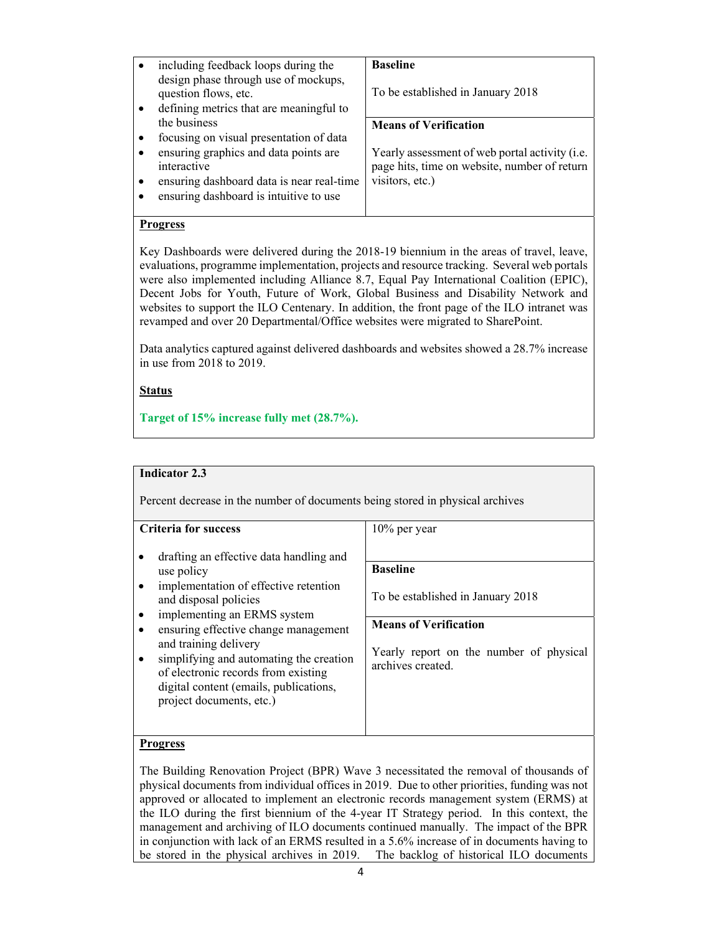| <b>Baseline</b>                                                                                                           |
|---------------------------------------------------------------------------------------------------------------------------|
| To be established in January 2018                                                                                         |
| <b>Means of Verification</b>                                                                                              |
|                                                                                                                           |
| Yearly assessment of web portal activity ( <i>i.e.</i><br>page hits, time on website, number of return<br>visitors, etc.) |
|                                                                                                                           |

## **Progress**

Key Dashboards were delivered during the 2018-19 biennium in the areas of travel, leave, evaluations, programme implementation, projects and resource tracking. Several web portals were also implemented including Alliance 8.7, Equal Pay International Coalition (EPIC), Decent Jobs for Youth, Future of Work, Global Business and Disability Network and websites to support the ILO Centenary. In addition, the front page of the ILO intranet was revamped and over 20 Departmental/Office websites were migrated to SharePoint.

Data analytics captured against delivered dashboards and websites showed a 28.7% increase in use from 2018 to 2019.

#### **Status**

**Target of 15% increase fully met (28.7%).**

#### **Indicator 2.3**

Percent decrease in the number of documents being stored in physical archives

#### **Criteria for success**

- drafting an effective data handling and use policy
- implementation of effective retention and disposal policies
- implementing an ERMS system
- ensuring effective change management and training delivery
- simplifying and automating the creation of electronic records from existing digital content (emails, publications, project documents, etc.)

10% per year

#### **Baseline**

To be established in January 2018

## **Means of Verification**

Yearly report on the number of physical archives created.

#### **Progress**

The Building Renovation Project (BPR) Wave 3 necessitated the removal of thousands of physical documents from individual offices in 2019. Due to other priorities, funding was not approved or allocated to implement an electronic records management system (ERMS) at the ILO during the first biennium of the 4-year IT Strategy period. In this context, the management and archiving of ILO documents continued manually. The impact of the BPR in conjunction with lack of an ERMS resulted in a 5.6% increase of in documents having to be stored in the physical archives in 2019. The backlog of historical ILO documents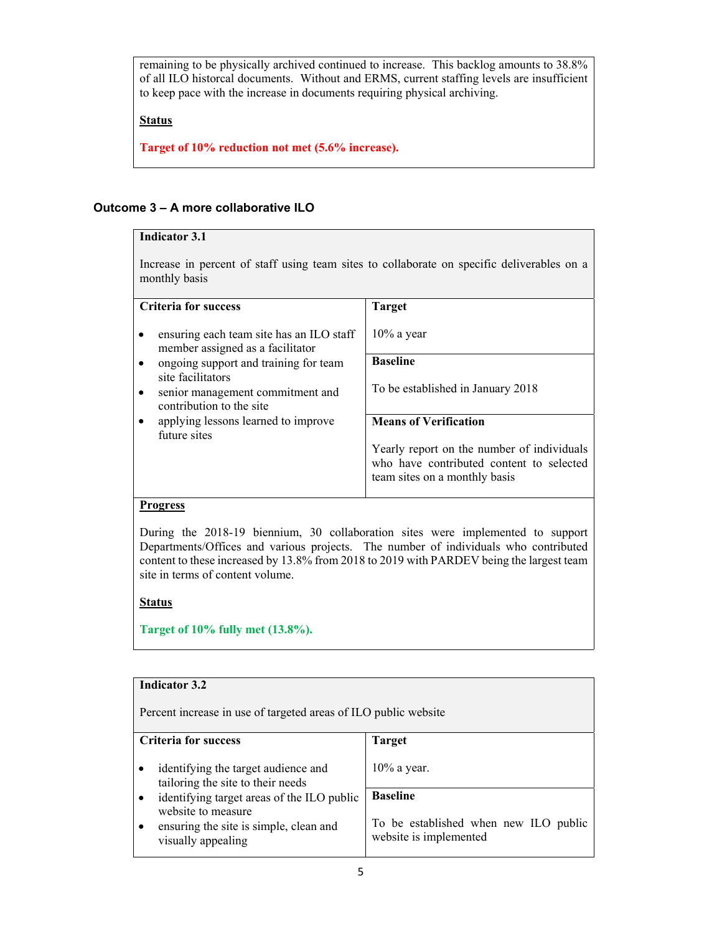remaining to be physically archived continued to increase. This backlog amounts to 38.8% of all ILO historcal documents. Without and ERMS, current staffing levels are insufficient to keep pace with the increase in documents requiring physical archiving.

### **Status**

**Target of 10% reduction not met (5.6% increase).**

## **Outcome 3 – A more collaborative ILO**

| <b>Indicator 3.1</b>                                                                                        |                                                                                                                         |  |
|-------------------------------------------------------------------------------------------------------------|-------------------------------------------------------------------------------------------------------------------------|--|
| Increase in percent of staff using team sites to collaborate on specific deliverables on a<br>monthly basis |                                                                                                                         |  |
| <b>Criteria for success</b><br><b>Target</b>                                                                |                                                                                                                         |  |
| ensuring each team site has an ILO staff<br>member assigned as a facilitator                                | $10\%$ a year                                                                                                           |  |
| ongoing support and training for team<br>$\bullet$                                                          | <b>Baseline</b>                                                                                                         |  |
| site facilitators<br>senior management commitment and<br>$\bullet$<br>contribution to the site              | To be established in January 2018                                                                                       |  |
| applying lessons learned to improve                                                                         | <b>Means of Verification</b>                                                                                            |  |
| future sites                                                                                                | Yearly report on the number of individuals<br>who have contributed content to selected<br>team sites on a monthly basis |  |
| Progress                                                                                                    |                                                                                                                         |  |

During the 2018-19 biennium, 30 collaboration sites were implemented to support Departments/Offices and various projects. The number of individuals who contributed content to these increased by 13.8% from 2018 to 2019 with PARDEV being the largest team site in terms of content volume.

## **Status**

**Target of 10% fully met (13.8%).**

#### **Indicator 3.2** Percent increase in use of targeted areas of ILO public website **Criteria for success**  • identifying the target audience and tailoring the site to their needs identifying target areas of the ILO public website to measure ensuring the site is simple, clean and visually appealing **Target**  10% a year. **Baseline**  To be established when new ILO public website is implemented